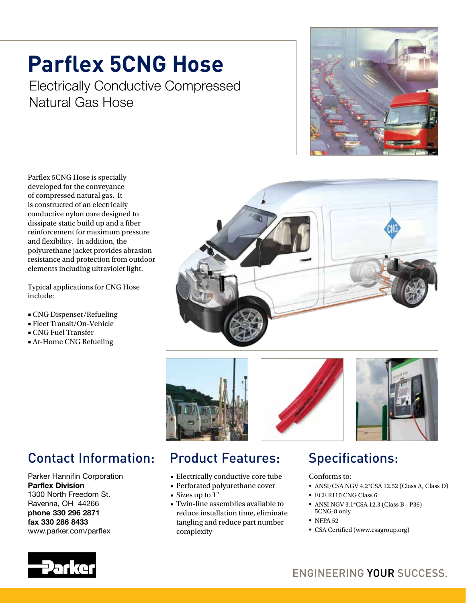# **Parflex 5CNG Hose**

Electrically Conductive Compressed Natural Gas Hose



Parflex 5CNG Hose is specially developed for the conveyance of compressed natural gas. It is constructed of an electrically conductive nylon core designed to dissipate static build up and a fiber reinforcement for maximum pressure and flexibility. In addition, the polyurethane jacket provides abrasion resistance and protection from outdoor elements including ultraviolet light.

Typical applications for CNG Hose include:

- CNG Dispenser/Refueling
- Fleet Transit/On-Vehicle
- CNG Fuel Transfer
- At-Home CNG Refueling









# Contact Information:

Parker Hannifin Corporation Parflex Division 1300 North Freedom St. Ravenna, OH 44266 phone 330 296 2871 fax 330 286 8433 www.parker.com/parflex

# Product Features:

- Electrically conductive core tube
- Perforated polyurethane cover
- Sizes up to 1"
- Twin-line assemblies available to reduce installation time, eliminate tangling and reduce part number complexity

# Specifications:

Conforms to:

- ANSI/CSA NGV 4.2\*CSA 12.52 (Class A, Class D)
- ECE R110 CNG Class 6
- ANSI NGV 3.1\*CSA 12.3 (Class B P36) 5CNG-8 only
- **NFPA 52**
- CSA Certified (www.csagroup.org)